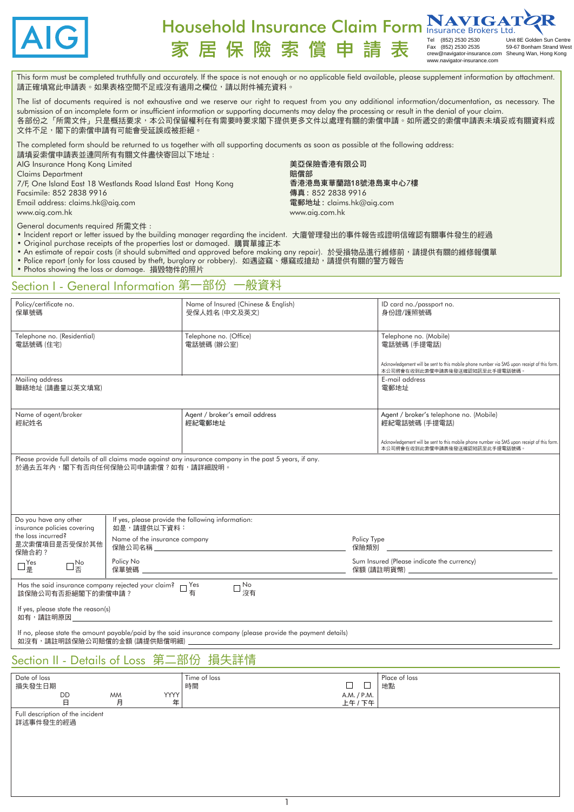

#### Household Insurance Claim Form **INAVIGA** 家居保險索償申請 Tel (852) 2530 2530 Unit 8E Golden Sun Centre Fax (852) 2536 25436 2543<br>Sheung Wan, Hong Kong

crew@navigator-insurance.com www.navigator-insurance.com

美亞保險香港有限公司

傳真 : 852 2838 9916 電郵地址 : claims.hk@aig.com

www.aig.com.hk

香港港島東華蘭路18號港島東中心*7*樓

| This form must be completed truthfully and accurately. If the space is not enough or no applicable field available, please supplement information by attachment. |  |
|------------------------------------------------------------------------------------------------------------------------------------------------------------------|--|
| 請正確填寫此申請表。如果表格空間不足或沒有適用之欄位,請以附件補充資料。                                                                                                                             |  |

The list of documents required is not exhaustive and we reserve our right to request from you any additional information/documentation, as necessary. The submission of an incomplete form or insufficient information or supporting documents may delay the processing or result in the denial of your claim. 各部份之「所需文件」只是概括要求,本公司保留權利在有需要時要求閣下提供更多文件以處理有關的索償申請。如所遞交的索償申請表未填妥或有關資料或 文件不足,閣下的索償申請有可能會受延誤或被拒絕。

賠償部

The completed form should be returned to us together with all supporting documents as soon as possible at the following address: 請填妥索償申請表並連同所有有關文件盡快寄回以下地址 :

AIG Insurance Hong Kong Limited

Claims Department

*7*/F, One Island East 18 Westlands Road Island East Hong Kong Facsimile: 852 2838 9916

Email address: claims.hk@aig.com

www.aig.com.hk

General documents required 所需文件 :

- Incident report or letter issued by the building manager regarding the incident. 大廈管理發出的事件報告或證明信確認有關事件發生的經過
- Original purchase receipts of the properties lost or damaged. 購買單據正本
- An estimate of repair costs (it should submitted and approved before making any repair). 於受損物品進行維修前,請提供有關的維修報價單
- Police report (only for loss caused by theft, burglary or robbery). 如遇盗竊、爆竊或搶劫,請提供有關的警方報告
- Photos showing the loss or damage. 損毀物件的照片

### Section I - General Information 第一部份 一般資料

| Policy/certificate no.<br>保單號碼                                                                       |             | Name of Insured (Chinese & English)<br>受保人姓名 (中文及英文)                                                           |  | ID card no./passport no.<br>身份證/護照號碼                                                                                         |  |
|------------------------------------------------------------------------------------------------------|-------------|----------------------------------------------------------------------------------------------------------------|--|------------------------------------------------------------------------------------------------------------------------------|--|
| Telephone no. (Residential)<br>電話號碼 (住宅)                                                             |             | Telephone no. (Office)<br>電話號碼 (辦公室)                                                                           |  | Telephone no. (Mobile)<br>電話號碼 (手提電話)                                                                                        |  |
|                                                                                                      |             |                                                                                                                |  | Acknowledgement will be sent to this mobile phone number via SMS upon receipt of this form.<br>本公司將會在收到此索償申請表後發送確認短訊至此手提電話號碼 |  |
| Mailing address<br>聯絡地址 (請盡量以英文填寫)                                                                   |             |                                                                                                                |  | E-mail address<br>電郵地址                                                                                                       |  |
| Name of agent/broker<br>經紀姓名                                                                         |             | Agent / broker's email address<br>經紀電郵地址                                                                       |  | Agent / broker's telephone no. (Mobile)<br>經紀電話號碼 (手提電話)                                                                     |  |
|                                                                                                      |             |                                                                                                                |  | Acknowledgement will be sent to this mobile phone number via SMS upon receipt of this form.<br>本公司將會在收到此索償申請表後發送確認短訊至此手提電話號碼 |  |
| 於過去五年內,閣下有否向任何保險公司申請索僧?如有,請詳細說明。                                                                     |             | Please provide full details of all claims made against any insurance company in the past 5 years, if any.      |  |                                                                                                                              |  |
| Do you have any other<br>insurance policies covering                                                 | 如是,請提供以下資料: | If yes, please provide the following information:                                                              |  |                                                                                                                              |  |
| the loss incurred?<br>Name of the insurance company<br>是次索償項目是否受保於其他<br>保險合約?                        |             | Policy Type<br>保險公司名稱 しょうしょう しゅうしょう しんこうしょう はんしょう はんしょう<br>保險類別                                                |  |                                                                                                                              |  |
| $\Box$ $_{\underline{\mathbb{E}}}^{\mathsf{Yes}}$<br>$\square_{\overline{\mathbb{F}}}^{\mathsf{No}}$ | Policy No   | くちにん 保 単 読み込み ほんしょう しょうしょく ほんこうしょう はんしょう しょうかい はんしょう しょうかい しょうしょう                                              |  | Sum Insured (Please indicate the currency)                                                                                   |  |
| Has the said insurance company rejected your claim? □ Yes<br>該保險公司有否拒絕閣下的索償申請?                       |             | □ No<br>② 沒有                                                                                                   |  |                                                                                                                              |  |
| If yes, please state the reason(s)<br>如有,請註明原因                                                       |             |                                                                                                                |  |                                                                                                                              |  |
| 如沒有,請註明該保險公司賠償的金額 (請提供賠償明細)                                                                          |             | If no, please state the amount payable/paid by the said insurance company (please provide the payment details) |  |                                                                                                                              |  |

### Section II - Details of Loss 第二部份 損失詳情

| Date of loss<br>損失發生日期                        |                |                  | Time of loss<br>時間 | □                      | Place of loss<br>地點 |
|-----------------------------------------------|----------------|------------------|--------------------|------------------------|---------------------|
| <b>DD</b><br>日                                | <b>MM</b><br>月 | <b>YYYY</b><br>年 |                    | A.M. / P.M.<br>上午 / 下午 |                     |
| Full description of the incident<br>詳述事件發生的經過 |                |                  |                    |                        |                     |
|                                               |                |                  |                    |                        |                     |

1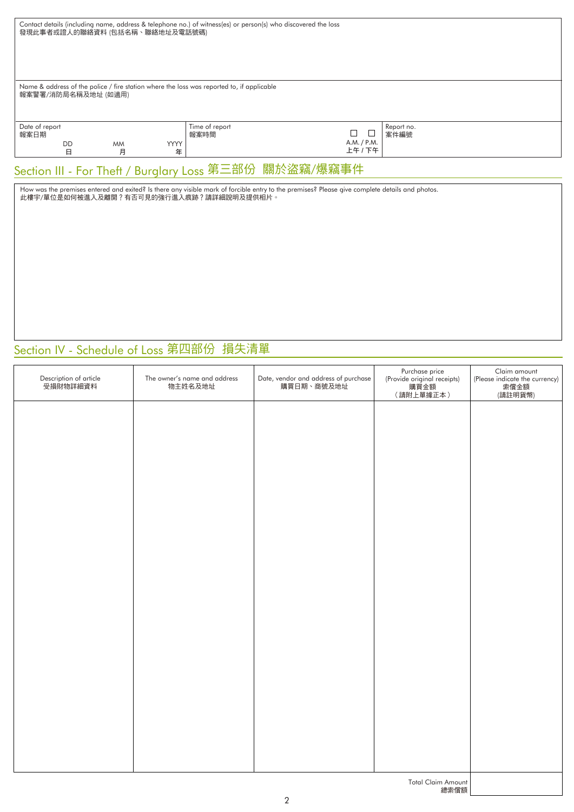| Contact details (including name, address & telephone no.) of witness(es) or person(s) who discovered the loss<br>發現此事者或證人的聯絡資料 (包括名稱、聯絡地址及電話號碼) |                                                        |                |                  |                        |                        |                    |
|-------------------------------------------------------------------------------------------------------------------------------------------------|--------------------------------------------------------|----------------|------------------|------------------------|------------------------|--------------------|
| Name & address of the police / fire station where the loss was reported to, if applicable<br>報案警署/消防局名稱及地址 (如適用)                                |                                                        |                |                  |                        |                        |                    |
| Date of report<br>報案日期                                                                                                                          | <b>DD</b><br>日                                         | <b>MM</b><br>月 | <b>YYYY</b><br>年 | Time of report<br>報案時間 | A.M. / P.M.<br>上午 / 下午 | Report no.<br>案件編號 |
|                                                                                                                                                 | Section III - For Theft / Burglary Loss 第三部份 關於盜竊/爆竊事件 |                |                  |                        |                        |                    |

How was the premises entered and exited? Is there any visible mark of forcible entry to the premises? Please give complete details and photos. 此樓宇/單位是如何被進入及離開?有否可見的強行進入痕跡?請詳細說明及提供相片。

# **Section IV - Schedule of Loss 第四部份 損失清單**

| Description of article<br>受損財物詳細資料 | The owner's name and address<br>物主姓名及地址 | Date, vendor and address of purchase<br>購買日期、商號及地址 | Purchase price | Claim amount<br>(Please indicate the currency)<br>索償金額<br>(請註明貨幣) |
|------------------------------------|-----------------------------------------|----------------------------------------------------|----------------|-------------------------------------------------------------------|
|                                    |                                         |                                                    |                |                                                                   |
|                                    |                                         |                                                    |                |                                                                   |
|                                    |                                         |                                                    |                |                                                                   |
|                                    |                                         |                                                    |                |                                                                   |
|                                    |                                         |                                                    |                |                                                                   |
|                                    |                                         |                                                    |                |                                                                   |
|                                    |                                         |                                                    |                |                                                                   |
|                                    |                                         |                                                    |                |                                                                   |
|                                    |                                         |                                                    |                |                                                                   |
|                                    |                                         |                                                    |                |                                                                   |
|                                    |                                         |                                                    |                |                                                                   |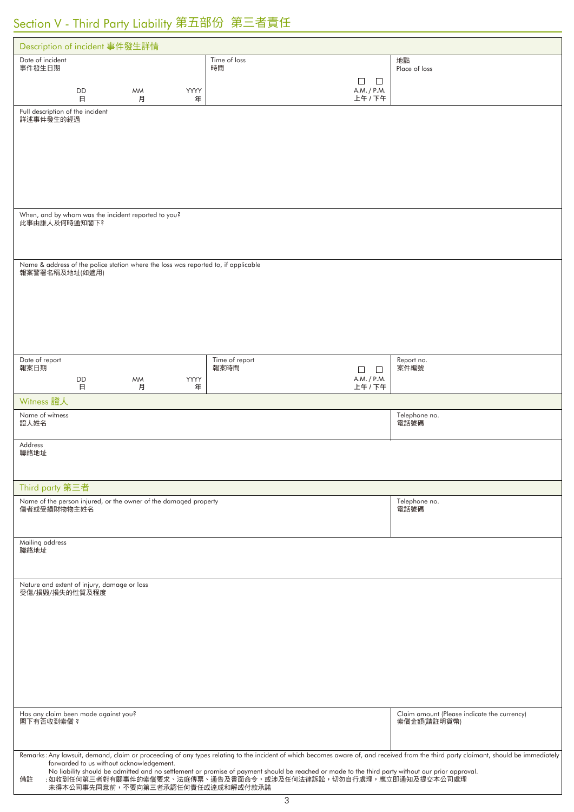# Section V - Third Party Liability 第五部份 第三者責任

| Description of incident 事件發生詳情                                                                                                                                                               |                                         |                                                            |  |  |  |
|----------------------------------------------------------------------------------------------------------------------------------------------------------------------------------------------|-----------------------------------------|------------------------------------------------------------|--|--|--|
| Date of incident<br>事件發生日期                                                                                                                                                                   | Time of loss<br>時間                      | 地點<br>Place of loss                                        |  |  |  |
|                                                                                                                                                                                              | $\Box$<br>$\mathbf{1}$                  |                                                            |  |  |  |
| DD<br>YYYY<br><b>MM</b><br>日<br>月<br>年                                                                                                                                                       | A.M. / P.M.<br>上午 / 下午                  |                                                            |  |  |  |
| Full description of the incident<br>詳述事件發生的經過                                                                                                                                                |                                         |                                                            |  |  |  |
|                                                                                                                                                                                              |                                         |                                                            |  |  |  |
|                                                                                                                                                                                              |                                         |                                                            |  |  |  |
|                                                                                                                                                                                              |                                         |                                                            |  |  |  |
|                                                                                                                                                                                              |                                         |                                                            |  |  |  |
|                                                                                                                                                                                              |                                         |                                                            |  |  |  |
| When, and by whom was the incident reported to you?                                                                                                                                          |                                         |                                                            |  |  |  |
| 此事由誰人及何時通知閣下?                                                                                                                                                                                |                                         |                                                            |  |  |  |
|                                                                                                                                                                                              |                                         |                                                            |  |  |  |
| Name & address of the police station where the loss was reported to, if applicable                                                                                                           |                                         |                                                            |  |  |  |
| 報案警署名稱及地址(如適用)                                                                                                                                                                               |                                         |                                                            |  |  |  |
|                                                                                                                                                                                              |                                         |                                                            |  |  |  |
|                                                                                                                                                                                              |                                         |                                                            |  |  |  |
|                                                                                                                                                                                              |                                         |                                                            |  |  |  |
|                                                                                                                                                                                              |                                         |                                                            |  |  |  |
| Date of report                                                                                                                                                                               | Time of report                          | Report no.                                                 |  |  |  |
| 報案日期<br>DD<br>YYYY<br><b>MM</b>                                                                                                                                                              | 報案時間<br>$\Box$<br>$\Box$<br>A.M. / P.M. | 案件編號                                                       |  |  |  |
| 日<br>月<br>年                                                                                                                                                                                  | 上午 / 下午                                 |                                                            |  |  |  |
| Witness 證人                                                                                                                                                                                   |                                         |                                                            |  |  |  |
| Name of witness<br>證人姓名                                                                                                                                                                      |                                         | Telephone no.<br>電話號碼                                      |  |  |  |
| Address                                                                                                                                                                                      |                                         |                                                            |  |  |  |
| 聯絡地址                                                                                                                                                                                         |                                         |                                                            |  |  |  |
|                                                                                                                                                                                              |                                         |                                                            |  |  |  |
| Third party 第三者                                                                                                                                                                              |                                         |                                                            |  |  |  |
| Name of the person injured, or the owner of the damaged property<br>傷者或受損財物物主姓名                                                                                                              |                                         | Telephone no.<br>電話號碼                                      |  |  |  |
|                                                                                                                                                                                              |                                         |                                                            |  |  |  |
| Mailing address                                                                                                                                                                              |                                         |                                                            |  |  |  |
| 聯絡地址                                                                                                                                                                                         |                                         |                                                            |  |  |  |
|                                                                                                                                                                                              |                                         |                                                            |  |  |  |
| Nature and extent of injury, damage or loss<br>受傷/損毀/損失的性質及程度                                                                                                                                |                                         |                                                            |  |  |  |
|                                                                                                                                                                                              |                                         |                                                            |  |  |  |
|                                                                                                                                                                                              |                                         |                                                            |  |  |  |
|                                                                                                                                                                                              |                                         |                                                            |  |  |  |
|                                                                                                                                                                                              |                                         |                                                            |  |  |  |
|                                                                                                                                                                                              |                                         |                                                            |  |  |  |
|                                                                                                                                                                                              |                                         |                                                            |  |  |  |
|                                                                                                                                                                                              |                                         |                                                            |  |  |  |
| Has any claim been made against you?<br>閣下有否收到索償?                                                                                                                                            |                                         | Claim amount (Please indicate the currency)<br>索償金額(請註明貨幣) |  |  |  |
|                                                                                                                                                                                              |                                         |                                                            |  |  |  |
| Remarks: Any lawsuit, demand, claim or proceeding of any types relating to the incident of which becomes aware of, and received from the third party claimant, should be immediately         |                                         |                                                            |  |  |  |
| forwarded to us without acknowledgement.<br>No liability should be admitted and no settlement or promise of payment should be reached or made to the third party without our prior approval. |                                         |                                                            |  |  |  |
| : 如收到任何第三者對有關事件的索償要求、法庭傳票、通告及書面命令,或涉及任何法律訴訟,切勿自行處理,應立即通知及提交本公司處理<br>備註<br>未得本公司事先同意前,不要向第三者承認任何責任或達成和解或付款承諾                                                                                  |                                         |                                                            |  |  |  |